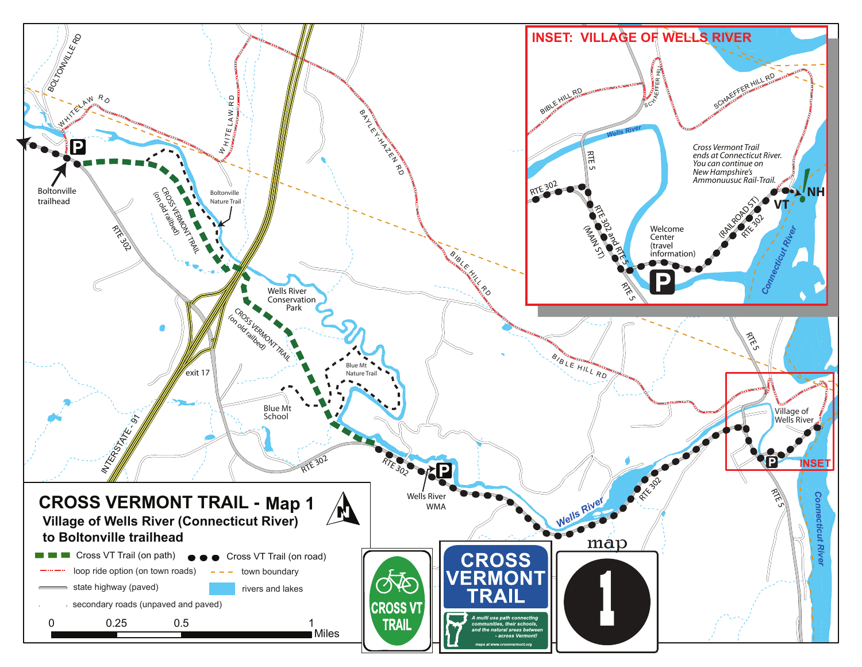